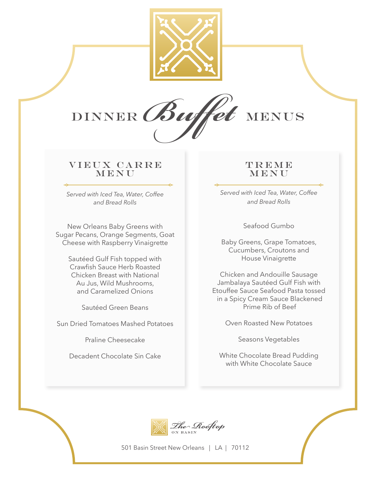



# VIEUX CARRE MENU

*Served with Iced Tea, Water, Coffee and Bread Rolls*

New Orleans Baby Greens with Sugar Pecans, Orange Segments, Goat Cheese with Raspberry Vinaigrette

> Sautéed Gulf Fish topped with Crawfish Sauce Herb Roasted Chicken Breast with National Au Jus, Wild Mushrooms, and Caramelized Onions

> > Sautéed Green Beans

Sun Dried Tomatoes Mashed Potatoes

Praline Cheesecake

Decadent Chocolate Sin Cake

# **TREME** MENU

*Served with Iced Tea, Water, Coffee and Bread Rolls*

Seafood Gumbo

Baby Greens, Grape Tomatoes, Cucumbers, Croutons and House Vinaigrette

Chicken and Andouille Sausage Jambalaya Sautéed Gulf Fish with Etouffee Sauce Seafood Pasta tossed in a Spicy Cream Sauce Blackened Prime Rib of Beef

Oven Roasted New Potatoes

Seasons Vegetables

White Chocolate Bread Pudding with White Chocolate Sauce



501 Basin Street New Orleans | LA | 70112